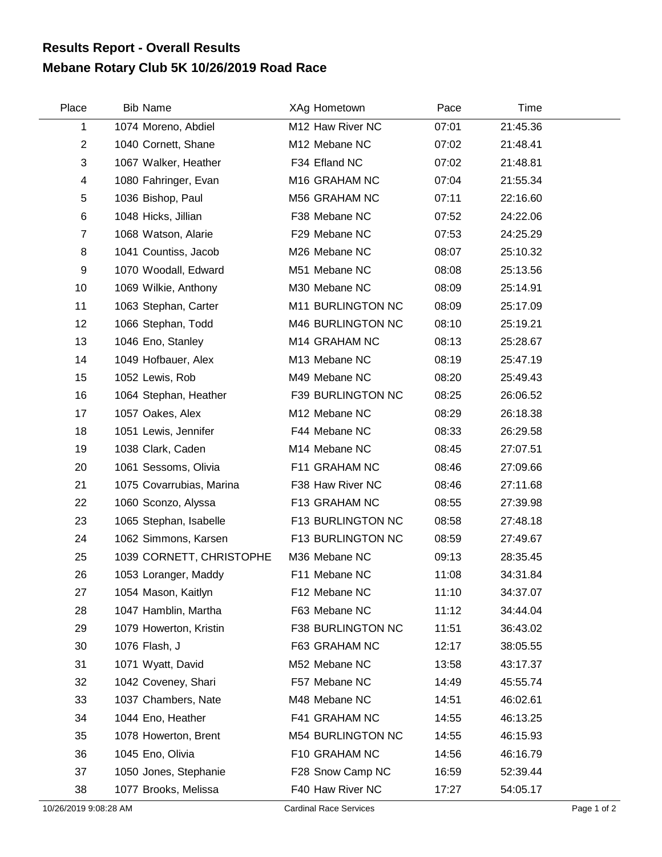## **Mebane Rotary Club 5K 10/26/2019 Road Race Results Report - Overall Results**

| Place          | <b>Bib Name</b>          | XAg Hometown              | Pace  | Time     |  |
|----------------|--------------------------|---------------------------|-------|----------|--|
| 1              | 1074 Moreno, Abdiel      | M12 Haw River NC          | 07:01 | 21:45.36 |  |
| $\overline{2}$ | 1040 Cornett, Shane      | M12 Mebane NC             | 07:02 | 21:48.41 |  |
| 3              | 1067 Walker, Heather     | F34 Efland NC             | 07:02 | 21:48.81 |  |
| 4              | 1080 Fahringer, Evan     | M <sub>16</sub> GRAHAM NC | 07:04 | 21:55.34 |  |
| 5              | 1036 Bishop, Paul        | M56 GRAHAM NC             | 07:11 | 22:16.60 |  |
| 6              | 1048 Hicks, Jillian      | F38 Mebane NC             | 07:52 | 24:22.06 |  |
| $\overline{7}$ | 1068 Watson, Alarie      | F29 Mebane NC             | 07:53 | 24:25.29 |  |
| 8              | 1041 Countiss, Jacob     | M26 Mebane NC             | 08:07 | 25:10.32 |  |
| 9              | 1070 Woodall, Edward     | M51 Mebane NC             | 08:08 | 25:13.56 |  |
| 10             | 1069 Wilkie, Anthony     | M30 Mebane NC             | 08:09 | 25:14.91 |  |
| 11             | 1063 Stephan, Carter     | M11 BURLINGTON NC         | 08:09 | 25:17.09 |  |
| 12             | 1066 Stephan, Todd       | M46 BURLINGTON NC         | 08:10 | 25:19.21 |  |
| 13             | 1046 Eno, Stanley        | M14 GRAHAM NC             | 08:13 | 25:28.67 |  |
| 14             | 1049 Hofbauer, Alex      | M13 Mebane NC             | 08:19 | 25:47.19 |  |
| 15             | 1052 Lewis, Rob          | M49 Mebane NC             | 08:20 | 25:49.43 |  |
| 16             | 1064 Stephan, Heather    | F39 BURLINGTON NC         | 08:25 | 26:06.52 |  |
| 17             | 1057 Oakes, Alex         | M12 Mebane NC             | 08:29 | 26:18.38 |  |
| 18             | 1051 Lewis, Jennifer     | F44 Mebane NC             | 08:33 | 26:29.58 |  |
| 19             | 1038 Clark, Caden        | M14 Mebane NC             | 08:45 | 27:07.51 |  |
| 20             | 1061 Sessoms, Olivia     | F11 GRAHAM NC             | 08:46 | 27:09.66 |  |
| 21             | 1075 Covarrubias, Marina | F38 Haw River NC          | 08:46 | 27:11.68 |  |
| 22             | 1060 Sconzo, Alyssa      | F13 GRAHAM NC             | 08:55 | 27:39.98 |  |
| 23             | 1065 Stephan, Isabelle   | F13 BURLINGTON NC         | 08:58 | 27:48.18 |  |
| 24             | 1062 Simmons, Karsen     | F13 BURLINGTON NC         | 08:59 | 27:49.67 |  |
| 25             | 1039 CORNETT, CHRISTOPHE | M36 Mebane NC             | 09:13 | 28:35.45 |  |
| 26             | 1053 Loranger, Maddy     | F11 Mebane NC             | 11:08 | 34:31.84 |  |
| 27             | 1054 Mason, Kaitlyn      | F12 Mebane NC             | 11:10 | 34:37.07 |  |
| 28             | 1047 Hamblin, Martha     | F63 Mebane NC             | 11:12 | 34:44.04 |  |
| 29             | 1079 Howerton, Kristin   | F38 BURLINGTON NC         | 11:51 | 36:43.02 |  |
| 30             | 1076 Flash, J            | F63 GRAHAM NC             | 12:17 | 38:05.55 |  |
| 31             | 1071 Wyatt, David        | M52 Mebane NC             | 13:58 | 43:17.37 |  |
| 32             | 1042 Coveney, Shari      | F57 Mebane NC             | 14:49 | 45:55.74 |  |
| 33             | 1037 Chambers, Nate      | M48 Mebane NC             | 14:51 | 46:02.61 |  |
| 34             | 1044 Eno, Heather        | F41 GRAHAM NC             | 14:55 | 46:13.25 |  |
| 35             | 1078 Howerton, Brent     | M54 BURLINGTON NC         | 14:55 | 46:15.93 |  |
| 36             | 1045 Eno, Olivia         | F10 GRAHAM NC             | 14:56 | 46:16.79 |  |
| 37             | 1050 Jones, Stephanie    | F28 Snow Camp NC          | 16:59 | 52:39.44 |  |
| 38             | 1077 Brooks, Melissa     | F40 Haw River NC          | 17:27 | 54:05.17 |  |